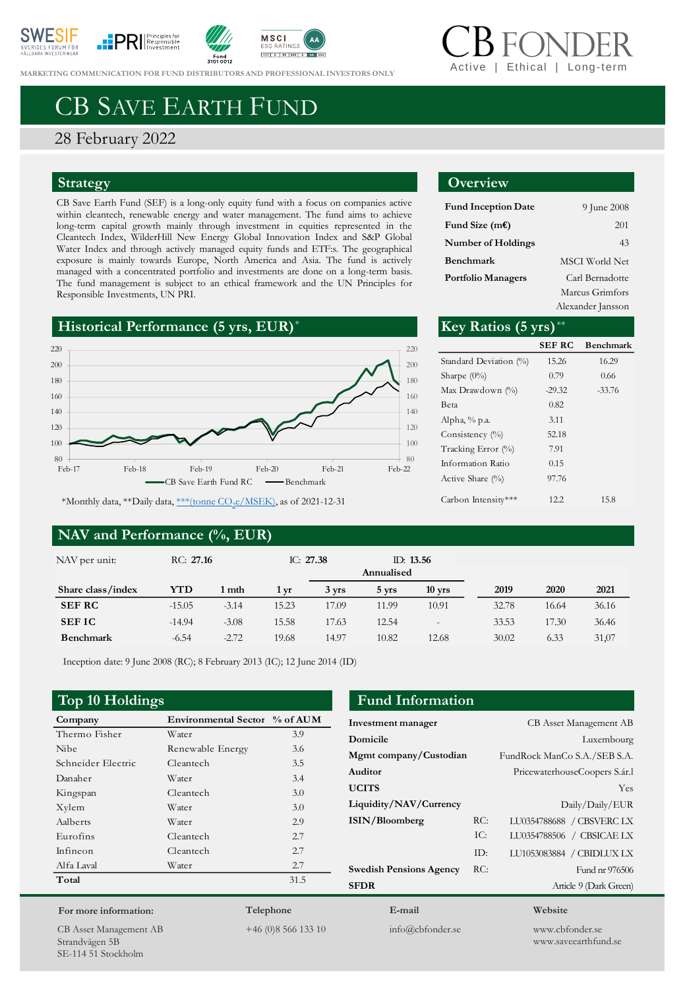









**MARKETING COMMUNICATION FOR FUND DI[STRIBUTORS](https://www.svanen.se/en/funds/save-in-funds/) AND PROFESSIONAL INVESTORS ONLY** 

# Ethical | Long-tern

# CB SAVE EARTH FUND

#### 28 February 2022

#### **Strategy**

CB Save Earth Fund (SEF) is a long-only equity fund with a focus on companies active within cleantech, renewable energy and water management. The fund aims to achieve long-term capital growth mainly through investment in equities represented in the Cleantech Index, WilderHill New Energy Global Innovation Index and S&P Global Water Index and through actively managed equity funds and ETF:s. The geographical exposure is mainly towards Europe, North America and Asia. The fund is actively managed with a concentrated portfolio and investments are done on a long-term basis. The fund management is subject to an ethical framework and the UN Principles for Responsible Investments, UN PRI.





\*Monthly data, \*\*Daily data, <u>\*\*\*(tonne CO<sub>2</sub>e/MSEK</u>), as of 2021-12-31

#### **NAV and Performance (%, EUR)**

## **Overview**

| <b>Fund Inception Date</b> | 9 June 2008           |
|----------------------------|-----------------------|
| Fund Size (m€)             | 201                   |
| Number of Holdings         | 43                    |
| Benchmark                  | <b>MSCI</b> World Net |
| Portfolio Managers         | Carl Bernadotte       |
|                            | Marcus Grimfors       |
|                            |                       |

Alexander Jansson

|              | Key Ratios $(5 \text{ yrs})$ ** |               |                  |
|--------------|---------------------------------|---------------|------------------|
| 220          |                                 | <b>SEF RC</b> | <b>Benchmark</b> |
| 200          | Standard Deviation (%)          | 15.26         | 16.29            |
| 180          | Sharpe $(0\%)$                  | 0.79          | 0.66             |
| 160          | Max Drawdown (%)                | $-29.32$      | $-33.76$         |
| 140          | Beta                            | 0.82          |                  |
|              | Alpha, % p.a.                   | 3.11          |                  |
| 120          | Consistency $(\%)$              | 52.18         |                  |
| 100          | Tracking Error (%)              | 7.91          |                  |
| 80<br>Feb-22 | Information Ratio               | 0.15          |                  |
|              | Active Share $(\%)$             | 97.76         |                  |
| f 2021-12-31 | Carbon Intensity***             | 12.2          | 15.8             |

| NAV per unit:     | RC: 27.16 |         | IC: $27.38$ |       | Annualised | ID: $13.56$              |       |       |       |
|-------------------|-----------|---------|-------------|-------|------------|--------------------------|-------|-------|-------|
| Share class/index | YTD       | 1 mth   | 1 vr        | 3 yrs | 5 vrs      | $10$ yrs                 | 2019  | 2020  | 2021  |
| <b>SEF RC</b>     | $-15.05$  | $-3.14$ | 15.23       | 17.09 | 11.99      | 10.91                    | 32.78 | 16.64 | 36.16 |
| <b>SEFIC</b>      | $-14.94$  | $-3.08$ | 15.58       | 17.63 | 12.54      | $\overline{\phantom{a}}$ | 33.53 | 17.30 | 36.46 |
| <b>Benchmark</b>  | $-6.54$   | $-2.72$ | 19.68       | 14.97 | 10.82      | 12.68                    | 30.02 | 6.33  | 31,07 |

Inception date: 9 June 2008 (RC); 8 February 2013 (IC); 12 June 2014 (ID)

| Company            | Environmental Sector % of AUM |      |
|--------------------|-------------------------------|------|
| Thermo Fisher      | Water                         | 3.9  |
| Nibe.              | Renewable Energy              | 3.6  |
| Schneider Electric | Cleantech                     | 3.5  |
| Danaher            | Water                         | 3.4  |
| Kingspan           | Cleantech                     | 3.0  |
| Xylem              | Water                         | 3.0  |
| Aalberts           | Water                         | 2.9  |
| Eurofins           | Cleantech                     | 2.7  |
| Infineon           | Cleantech                     | 2.7  |
| Alfa Laval         | Water                         | 2.7  |
| Total              |                               | 31.5 |
|                    |                               |      |

### **Top 10 Holdings Fund Information**

| Investment manager             |       | <b>CB</b> Asset Management AB |
|--------------------------------|-------|-------------------------------|
| Domicile                       |       | Luxembourg                    |
| Mgmt company/Custodian         |       | FundRock ManCo S.A./SEB S.A.  |
| Auditor                        |       | PricewaterhouseCoopers S.ár.l |
| <b>UCITS</b>                   |       | Yes                           |
| Liquidity/NAV/Currency         |       | Daily/Daily/EUR               |
| ISIN/Bloomberg                 | RC:   | LU0354788688 / CBSVERC LX     |
|                                | IC:   | LU0354788506 / CBSICAE LX     |
|                                | $ID+$ | LU1053083884 / CBIDLUX LX     |
| <b>Swedish Pensions Agency</b> | RC:   | Fund nr 976506                |
| <b>SFDR</b>                    |       | Article 9 (Dark Green)        |
| E-mail                         |       | Website                       |

CB Asset Management AB Strandvägen 5B SE-114 51 Stockholm

**For more information:**

**Telephone** +46 (0)8 566 133 10

info@cbfonder.se

www.cbfonder.se www.saveearthfund.se